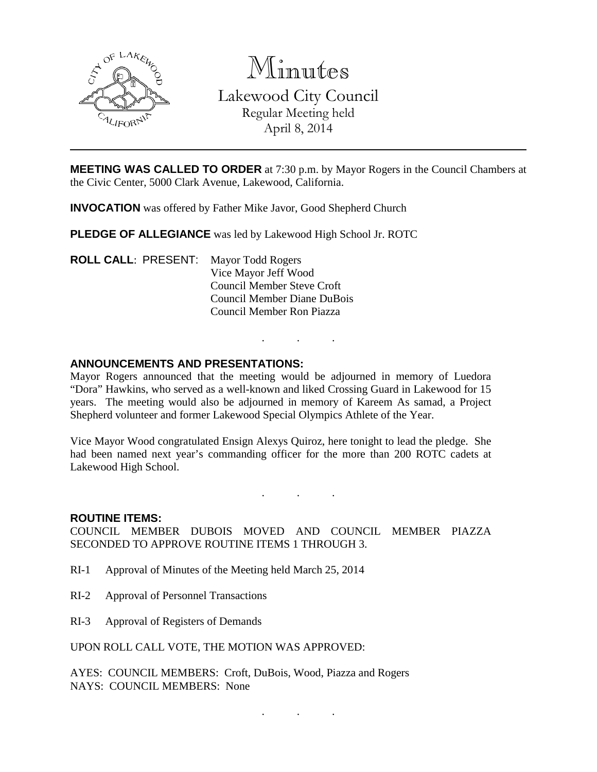

Minutes Lakewood City Council Regular Meeting held April 8, 2014

**MEETING WAS CALLED TO ORDER** at 7:30 p.m. by Mayor Rogers in the Council Chambers at the Civic Center, 5000 Clark Avenue, Lakewood, California.

**INVOCATION** was offered by Father Mike Javor, Good Shepherd Church

**PLEDGE OF ALLEGIANCE** was led by Lakewood High School Jr. ROTC

**ROLL CALL**: PRESENT: Mayor Todd Rogers Vice Mayor Jeff Wood Council Member Steve Croft Council Member Diane DuBois Council Member Ron Piazza

#### **ANNOUNCEMENTS AND PRESENTATIONS:**

Mayor Rogers announced that the meeting would be adjourned in memory of Luedora "Dora" Hawkins, who served as a well-known and liked Crossing Guard in Lakewood for 15 years. The meeting would also be adjourned in memory of Kareem As samad, a Project Shepherd volunteer and former Lakewood Special Olympics Athlete of the Year.

. . .

Vice Mayor Wood congratulated Ensign Alexys Quiroz, here tonight to lead the pledge. She had been named next year's commanding officer for the more than 200 ROTC cadets at Lakewood High School.

. . .

. . .

#### **ROUTINE ITEMS:**

COUNCIL MEMBER DUBOIS MOVED AND COUNCIL MEMBER PIAZZA SECONDED TO APPROVE ROUTINE ITEMS 1 THROUGH 3.

- RI-1 Approval of Minutes of the Meeting held March 25, 2014
- RI-2 Approval of Personnel Transactions
- RI-3 Approval of Registers of Demands

UPON ROLL CALL VOTE, THE MOTION WAS APPROVED:

AYES: COUNCIL MEMBERS: Croft, DuBois, Wood, Piazza and Rogers NAYS: COUNCIL MEMBERS: None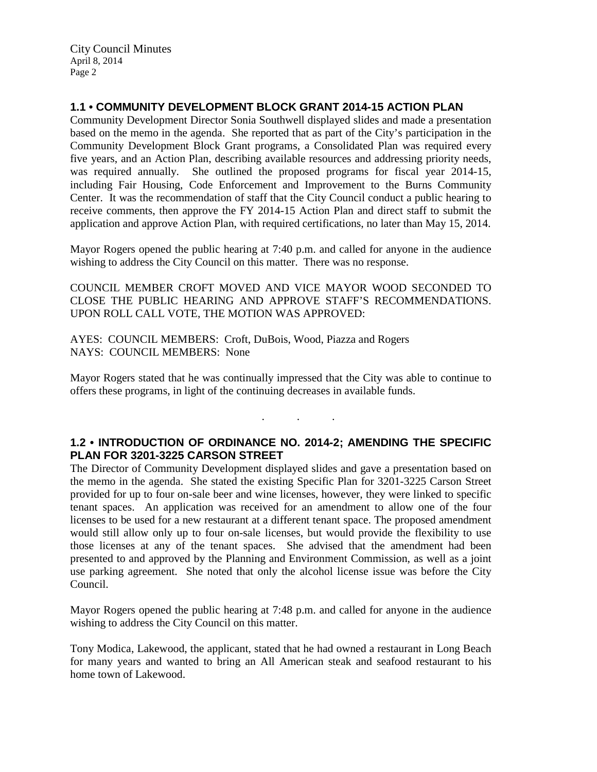# **1.1 • COMMUNITY DEVELOPMENT BLOCK GRANT 2014-15 ACTION PLAN**

Community Development Director Sonia Southwell displayed slides and made a presentation based on the memo in the agenda. She reported that as part of the City's participation in the Community Development Block Grant programs, a Consolidated Plan was required every five years, and an Action Plan, describing available resources and addressing priority needs, was required annually. She outlined the proposed programs for fiscal year 2014-15, including Fair Housing, Code Enforcement and Improvement to the Burns Community Center. It was the recommendation of staff that the City Council conduct a public hearing to receive comments, then approve the FY 2014-15 Action Plan and direct staff to submit the application and approve Action Plan, with required certifications, no later than May 15, 2014.

Mayor Rogers opened the public hearing at 7:40 p.m. and called for anyone in the audience wishing to address the City Council on this matter. There was no response.

COUNCIL MEMBER CROFT MOVED AND VICE MAYOR WOOD SECONDED TO CLOSE THE PUBLIC HEARING AND APPROVE STAFF'S RECOMMENDATIONS. UPON ROLL CALL VOTE, THE MOTION WAS APPROVED:

AYES: COUNCIL MEMBERS: Croft, DuBois, Wood, Piazza and Rogers NAYS: COUNCIL MEMBERS: None

Mayor Rogers stated that he was continually impressed that the City was able to continue to offers these programs, in light of the continuing decreases in available funds.

### **1.2 • INTRODUCTION OF ORDINANCE NO. 2014-2; AMENDING THE SPECIFIC PLAN FOR 3201-3225 CARSON STREET**

. . .

The Director of Community Development displayed slides and gave a presentation based on the memo in the agenda. She stated the existing Specific Plan for 3201-3225 Carson Street provided for up to four on-sale beer and wine licenses, however, they were linked to specific tenant spaces. An application was received for an amendment to allow one of the four licenses to be used for a new restaurant at a different tenant space. The proposed amendment would still allow only up to four on-sale licenses, but would provide the flexibility to use those licenses at any of the tenant spaces. She advised that the amendment had been presented to and approved by the Planning and Environment Commission, as well as a joint use parking agreement. She noted that only the alcohol license issue was before the City Council.

Mayor Rogers opened the public hearing at 7:48 p.m. and called for anyone in the audience wishing to address the City Council on this matter.

Tony Modica, Lakewood, the applicant, stated that he had owned a restaurant in Long Beach for many years and wanted to bring an All American steak and seafood restaurant to his home town of Lakewood.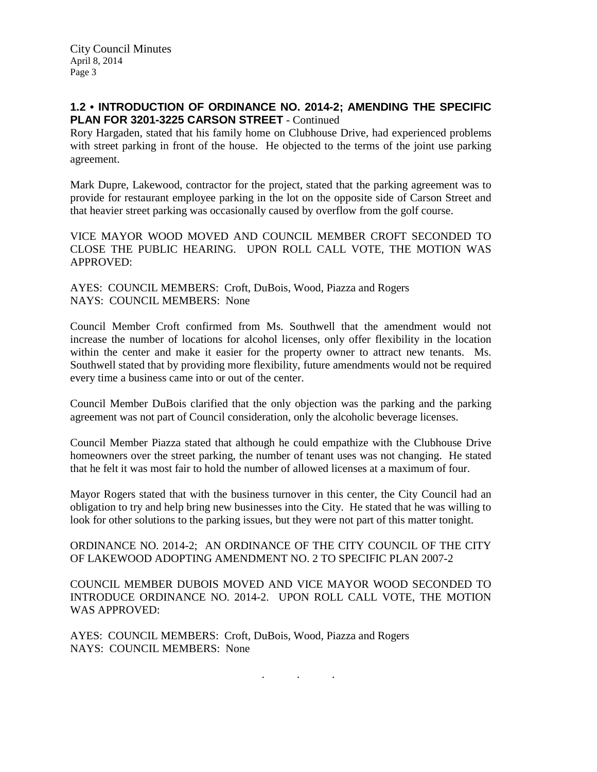# **1.2 • INTRODUCTION OF ORDINANCE NO. 2014-2; AMENDING THE SPECIFIC PLAN FOR 3201-3225 CARSON STREET** - Continued

Rory Hargaden, stated that his family home on Clubhouse Drive, had experienced problems with street parking in front of the house. He objected to the terms of the joint use parking agreement.

Mark Dupre, Lakewood, contractor for the project, stated that the parking agreement was to provide for restaurant employee parking in the lot on the opposite side of Carson Street and that heavier street parking was occasionally caused by overflow from the golf course.

VICE MAYOR WOOD MOVED AND COUNCIL MEMBER CROFT SECONDED TO CLOSE THE PUBLIC HEARING. UPON ROLL CALL VOTE, THE MOTION WAS APPROVED:

AYES: COUNCIL MEMBERS: Croft, DuBois, Wood, Piazza and Rogers NAYS: COUNCIL MEMBERS: None

Council Member Croft confirmed from Ms. Southwell that the amendment would not increase the number of locations for alcohol licenses, only offer flexibility in the location within the center and make it easier for the property owner to attract new tenants. Ms. Southwell stated that by providing more flexibility, future amendments would not be required every time a business came into or out of the center.

Council Member DuBois clarified that the only objection was the parking and the parking agreement was not part of Council consideration, only the alcoholic beverage licenses.

Council Member Piazza stated that although he could empathize with the Clubhouse Drive homeowners over the street parking, the number of tenant uses was not changing. He stated that he felt it was most fair to hold the number of allowed licenses at a maximum of four.

Mayor Rogers stated that with the business turnover in this center, the City Council had an obligation to try and help bring new businesses into the City. He stated that he was willing to look for other solutions to the parking issues, but they were not part of this matter tonight.

ORDINANCE NO. 2014-2; AN ORDINANCE OF THE CITY COUNCIL OF THE CITY OF LAKEWOOD ADOPTING AMENDMENT NO. 2 TO SPECIFIC PLAN 2007-2

COUNCIL MEMBER DUBOIS MOVED AND VICE MAYOR WOOD SECONDED TO INTRODUCE ORDINANCE NO. 2014-2. UPON ROLL CALL VOTE, THE MOTION WAS APPROVED:

. . .

AYES: COUNCIL MEMBERS: Croft, DuBois, Wood, Piazza and Rogers NAYS: COUNCIL MEMBERS: None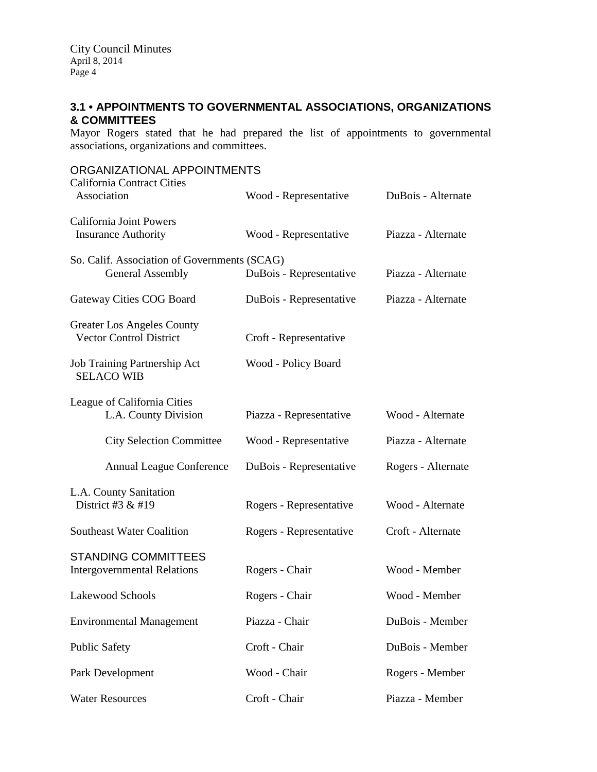# **3.1 • APPOINTMENTS TO GOVERNMENTAL ASSOCIATIONS, ORGANIZATIONS & COMMITTEES**

Mayor Rogers stated that he had prepared the list of appointments to governmental associations, organizations and committees.

| ORGANIZATIONAL APPOINTMENTS                                             |                         |                    |
|-------------------------------------------------------------------------|-------------------------|--------------------|
| <b>California Contract Cities</b><br>Association                        | Wood - Representative   | DuBois - Alternate |
| California Joint Powers<br><b>Insurance Authority</b>                   | Wood - Representative   | Piazza - Alternate |
| So. Calif. Association of Governments (SCAG)<br><b>General Assembly</b> | DuBois - Representative | Piazza - Alternate |
| Gateway Cities COG Board                                                | DuBois - Representative | Piazza - Alternate |
| <b>Greater Los Angeles County</b><br><b>Vector Control District</b>     | Croft - Representative  |                    |
| Job Training Partnership Act<br><b>SELACO WIB</b>                       | Wood - Policy Board     |                    |
| League of California Cities<br>L.A. County Division                     | Piazza - Representative | Wood - Alternate   |
| <b>City Selection Committee</b>                                         | Wood - Representative   | Piazza - Alternate |
| <b>Annual League Conference</b>                                         | DuBois - Representative | Rogers - Alternate |
| L.A. County Sanitation<br>District #3 & #19                             | Rogers - Representative | Wood - Alternate   |
| <b>Southeast Water Coalition</b>                                        | Rogers - Representative | Croft - Alternate  |
| <b>STANDING COMMITTEES</b><br><b>Intergovernmental Relations</b>        | Rogers - Chair          | Wood - Member      |
| Lakewood Schools                                                        | Rogers - Chair          | Wood - Member      |
| <b>Environmental Management</b>                                         | Piazza - Chair          | DuBois - Member    |
| <b>Public Safety</b>                                                    | Croft - Chair           | DuBois - Member    |
| Park Development                                                        | Wood - Chair            | Rogers - Member    |
| <b>Water Resources</b>                                                  | Croft - Chair           | Piazza - Member    |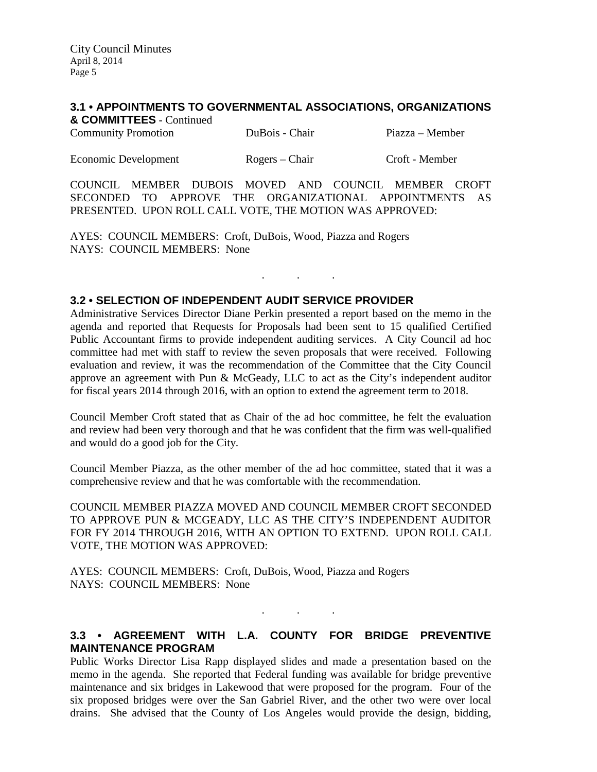#### **3.1 • APPOINTMENTS TO GOVERNMENTAL ASSOCIATIONS, ORGANIZATIONS**

| & COMMITTEES - Continued   |                |                 |
|----------------------------|----------------|-----------------|
| <b>Community Promotion</b> | DuBois - Chair | Piazza – Member |

| <b>Economic Development</b> | Rogers – Chair | Croft - Member |
|-----------------------------|----------------|----------------|
|                             |                |                |

COUNCIL MEMBER DUBOIS MOVED AND COUNCIL MEMBER CROFT SECONDED TO APPROVE THE ORGANIZATIONAL APPOINTMENTS AS PRESENTED. UPON ROLL CALL VOTE, THE MOTION WAS APPROVED:

. . .

AYES: COUNCIL MEMBERS: Croft, DuBois, Wood, Piazza and Rogers NAYS: COUNCIL MEMBERS: None

## **3.2 • SELECTION OF INDEPENDENT AUDIT SERVICE PROVIDER**

Administrative Services Director Diane Perkin presented a report based on the memo in the agenda and reported that Requests for Proposals had been sent to 15 qualified Certified Public Accountant firms to provide independent auditing services. A City Council ad hoc committee had met with staff to review the seven proposals that were received. Following evaluation and review, it was the recommendation of the Committee that the City Council approve an agreement with Pun & McGeady, LLC to act as the City's independent auditor for fiscal years 2014 through 2016, with an option to extend the agreement term to 2018.

Council Member Croft stated that as Chair of the ad hoc committee, he felt the evaluation and review had been very thorough and that he was confident that the firm was well-qualified and would do a good job for the City.

Council Member Piazza, as the other member of the ad hoc committee, stated that it was a comprehensive review and that he was comfortable with the recommendation.

COUNCIL MEMBER PIAZZA MOVED AND COUNCIL MEMBER CROFT SECONDED TO APPROVE PUN & MCGEADY, LLC AS THE CITY'S INDEPENDENT AUDITOR FOR FY 2014 THROUGH 2016, WITH AN OPTION TO EXTEND. UPON ROLL CALL VOTE, THE MOTION WAS APPROVED:

AYES: COUNCIL MEMBERS: Croft, DuBois, Wood, Piazza and Rogers NAYS: COUNCIL MEMBERS: None

### **3.3 • AGREEMENT WITH L.A. COUNTY FOR BRIDGE PREVENTIVE MAINTENANCE PROGRAM**

 $\mathbf{r}$  .  $\mathbf{r}$  ,  $\mathbf{r}$  ,  $\mathbf{r}$  ,  $\mathbf{r}$  ,  $\mathbf{r}$  ,  $\mathbf{r}$ 

Public Works Director Lisa Rapp displayed slides and made a presentation based on the memo in the agenda. She reported that Federal funding was available for bridge preventive maintenance and six bridges in Lakewood that were proposed for the program. Four of the six proposed bridges were over the San Gabriel River, and the other two were over local drains. She advised that the County of Los Angeles would provide the design, bidding,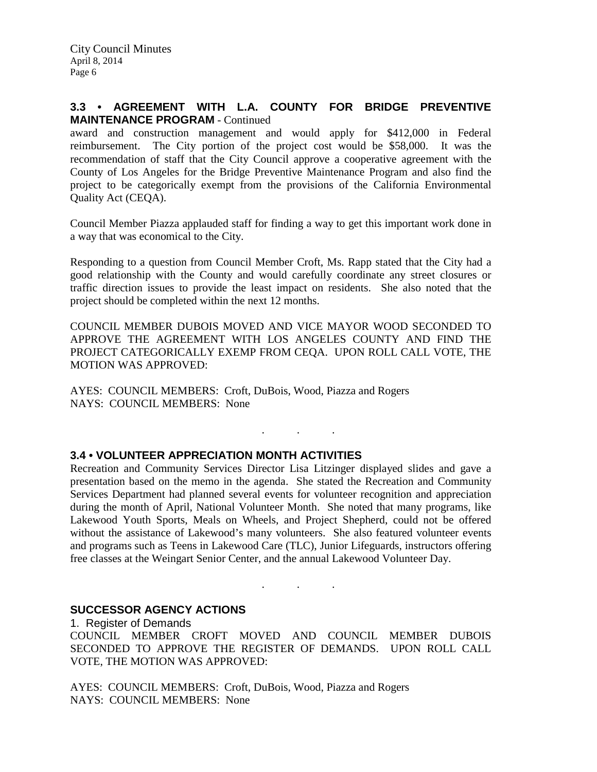### **3.3 • AGREEMENT WITH L.A. COUNTY FOR BRIDGE PREVENTIVE MAINTENANCE PROGRAM** - Continued

award and construction management and would apply for \$412,000 in Federal reimbursement. The City portion of the project cost would be \$58,000. It was the recommendation of staff that the City Council approve a cooperative agreement with the County of Los Angeles for the Bridge Preventive Maintenance Program and also find the project to be categorically exempt from the provisions of the California Environmental Quality Act (CEQA).

Council Member Piazza applauded staff for finding a way to get this important work done in a way that was economical to the City.

Responding to a question from Council Member Croft, Ms. Rapp stated that the City had a good relationship with the County and would carefully coordinate any street closures or traffic direction issues to provide the least impact on residents. She also noted that the project should be completed within the next 12 months.

COUNCIL MEMBER DUBOIS MOVED AND VICE MAYOR WOOD SECONDED TO APPROVE THE AGREEMENT WITH LOS ANGELES COUNTY AND FIND THE PROJECT CATEGORICALLY EXEMP FROM CEQA. UPON ROLL CALL VOTE, THE MOTION WAS APPROVED:

. . .

AYES: COUNCIL MEMBERS: Croft, DuBois, Wood, Piazza and Rogers NAYS: COUNCIL MEMBERS: None

### **3.4 • VOLUNTEER APPRECIATION MONTH ACTIVITIES**

Recreation and Community Services Director Lisa Litzinger displayed slides and gave a presentation based on the memo in the agenda. She stated the Recreation and Community Services Department had planned several events for volunteer recognition and appreciation during the month of April, National Volunteer Month. She noted that many programs, like Lakewood Youth Sports, Meals on Wheels, and Project Shepherd, could not be offered without the assistance of Lakewood's many volunteers. She also featured volunteer events and programs such as Teens in Lakewood Care (TLC), Junior Lifeguards, instructors offering free classes at the Weingart Senior Center, and the annual Lakewood Volunteer Day.

#### **SUCCESSOR AGENCY ACTIONS**

1. Register of Demands COUNCIL MEMBER CROFT MOVED AND COUNCIL MEMBER DUBOIS SECONDED TO APPROVE THE REGISTER OF DEMANDS. UPON ROLL CALL VOTE, THE MOTION WAS APPROVED:

. . .

AYES: COUNCIL MEMBERS: Croft, DuBois, Wood, Piazza and Rogers NAYS: COUNCIL MEMBERS: None